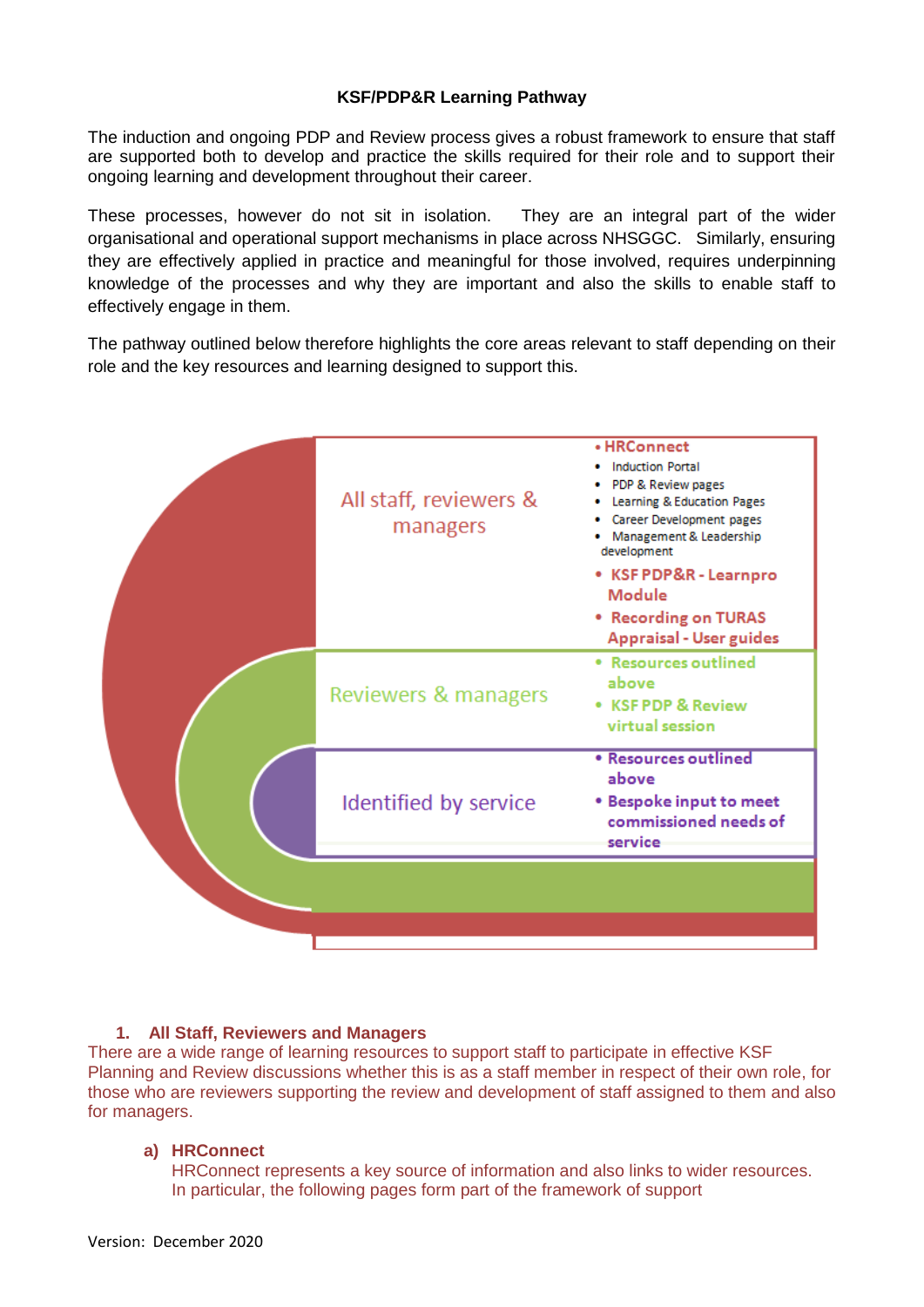The induction and ongoing PDP and Review process gives a robust framework to ensure that staff are supported both to develop and practice the skills required for their role and to support their ongoing learning and development throughout their career.

These processes, however do not sit in isolation. They are an integral part of the wider organisational and operational support mechanisms in place across NHSGGC. Similarly, ensuring they are effectively applied in practice and meaningful for those involved, requires underpinning knowledge of the processes and why they are important and also the skills to enable staff to effectively engage in them.

The pathway outlined below therefore highlights the core areas relevant to staff depending on their role and the key resources and learning designed to support this.

|  | All staff, reviewers &<br>managers | • HRConnect<br><b>Induction Portal</b><br>PDP & Review pages<br>Learning & Education Pages<br>Career Development pages<br>Management & Leadership<br>development<br>• KSF PDP&R - Learnpro<br><b>Module</b><br>• Recording on TURAS<br><b>Appraisal - User guides</b> |
|--|------------------------------------|-----------------------------------------------------------------------------------------------------------------------------------------------------------------------------------------------------------------------------------------------------------------------|
|  | Reviewers & managers               | • Resources outlined<br>above<br><b>• KSF PDP &amp; Review</b><br>virtual session                                                                                                                                                                                     |
|  | Identified by service              | <b>• Resources outlined</b><br>above<br><b>*</b> Bespoke input to meet<br>commissioned needs of<br>service                                                                                                                                                            |
|  |                                    |                                                                                                                                                                                                                                                                       |

# **1. All Staff, Reviewers and Managers**

There are a wide range of learning resources to support staff to participate in effective KSF Planning and Review discussions whether this is as a staff member in respect of their own role, for those who are reviewers supporting the review and development of staff assigned to them and also for managers.

# **a) HRConnect**

HRConnect represents a key source of information and also links to wider resources. In particular, the following pages form part of the framework of support